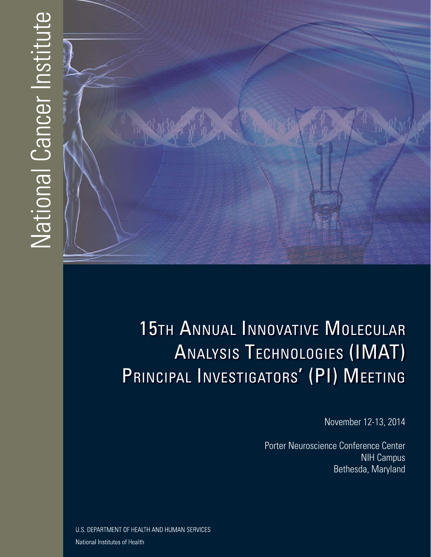# National Cancer Institute



# 15TH ANNUAL INNOVATIVE MOLECULAR ANALYSIS TECHNOLOGIES (IMAT) PRINCIPAL INVESTIGATORS' (PI) MEETING

November 12-13, 2014

Porter Neuroscience Conference Center NIH Campus Bethesda, Maryland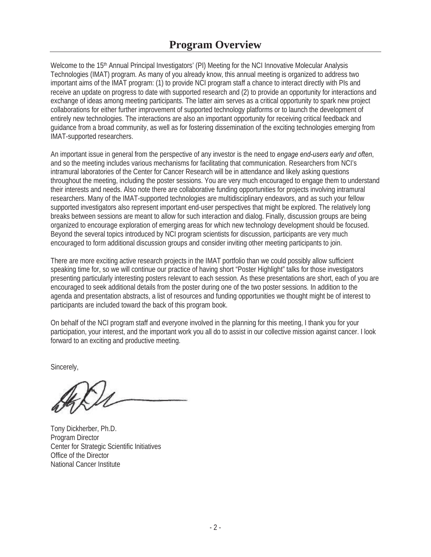Welcome to the 15<sup>th</sup> Annual Principal Investigators' (PI) Meeting for the NCI Innovative Molecular Analysis Technologies (IMAT) program. As many of you already know, this annual meeting is organized to address two important aims of the IMAT program: (1) to provide NCI program staff a chance to interact directly with PIs and receive an update on progress to date with supported research and (2) to provide an opportunity for interactions and exchange of ideas among meeting participants. The latter aim serves as a critical opportunity to spark new project collaborations for either further improvement of supported technology platforms or to launch the development of entirely new technologies. The interactions are also an important opportunity for receiving critical feedback and guidance from a broad community, as well as for fostering dissemination of the exciting technologies emerging from IMAT-supported researchers.

An important issue in general from the perspective of any investor is the need to *engage end-users early and often*, and so the meeting includes various mechanisms for facilitating that communication. Researchers from NCI's intramural laboratories of the Center for Cancer Research will be in attendance and likely asking questions throughout the meeting, including the poster sessions. You are very much encouraged to engage them to understand their interests and needs. Also note there are collaborative funding opportunities for projects involving intramural researchers. Many of the IMAT-supported technologies are multidisciplinary endeavors, and as such your fellow supported investigators also represent important end-user perspectives that might be explored. The relatively long breaks between sessions are meant to allow for such interaction and dialog. Finally, discussion groups are being organized to encourage exploration of emerging areas for which new technology development should be focused. Beyond the several topics introduced by NCI program scientists for discussion, participants are very much encouraged to form additional discussion groups and consider inviting other meeting participants to join.

There are more exciting active research projects in the IMAT portfolio than we could possibly allow sufficient speaking time for, so we will continue our practice of having short "Poster Highlight" talks for those investigators presenting particularly interesting posters relevant to each session. As these presentations are short, each of you are encouraged to seek additional details from the poster during one of the two poster sessions. In addition to the agenda and presentation abstracts, a list of resources and funding opportunities we thought might be of interest to participants are included toward the back of this program book.

forward to an exciting and productive meeting.<br>Sincerely, On behalf of the NCI program staff and everyone involved in the planning for this meeting, I thank you for your participation, your interest, and the important work you all do to assist in our collective mission against cancer. I look

 Center for Strategic Scientific Initiatives Office of the Director Tony Dickherber, Ph.D. Program Director National Cancer Institute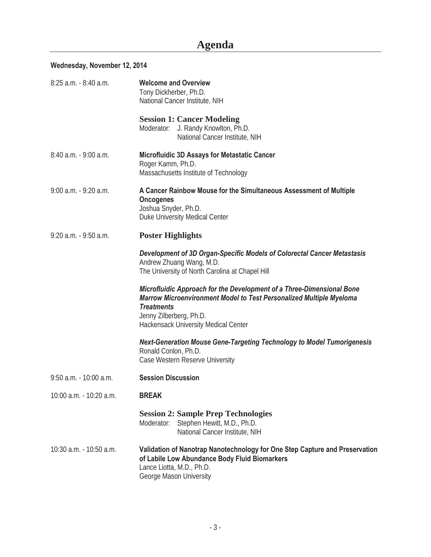# **Agenda**

### **Wednesday, November 12, 2014**

| 8:25 a.m. - 8:40 a.m.     | <b>Welcome and Overview</b><br>Tony Dickherber, Ph.D.<br>National Cancer Institute, NIH                                                                                                                                                            |  |
|---------------------------|----------------------------------------------------------------------------------------------------------------------------------------------------------------------------------------------------------------------------------------------------|--|
|                           | <b>Session 1: Cancer Modeling</b><br>Moderator: J. Randy Knowlton, Ph.D.<br>National Cancer Institute, NIH                                                                                                                                         |  |
| $8:40$ a.m. $-9:00$ a.m.  | Microfluidic 3D Assays for Metastatic Cancer<br>Roger Kamm, Ph.D.<br>Massachusetts Institute of Technology                                                                                                                                         |  |
| $9:00$ a.m. $-9:20$ a.m.  | A Cancer Rainbow Mouse for the Simultaneous Assessment of Multiple<br><b>Oncogenes</b><br>Joshua Snyder, Ph.D.<br>Duke University Medical Center                                                                                                   |  |
| $9:20$ a.m. $-9:50$ a.m.  | <b>Poster Highlights</b>                                                                                                                                                                                                                           |  |
|                           | Development of 3D Organ-Specific Models of Colorectal Cancer Metastasis<br>Andrew Zhuang Wang, M.D.<br>The University of North Carolina at Chapel Hill                                                                                             |  |
|                           | Microfluidic Approach for the Development of a Three-Dimensional Bone<br><b>Marrow Microenvironment Model to Test Personalized Multiple Myeloma</b><br><b>Treatments</b><br>Jenny Zilberberg, Ph.D.<br><b>Hackensack University Medical Center</b> |  |
|                           | <b>Next-Generation Mouse Gene-Targeting Technology to Model Tumorigenesis</b><br>Ronald Conlon, Ph.D.<br>Case Western Reserve University                                                                                                           |  |
| $9:50$ a.m. $-10:00$ a.m. | <b>Session Discussion</b>                                                                                                                                                                                                                          |  |
| 10:00 a.m. - 10:20 a.m.   | <b>BREAK</b>                                                                                                                                                                                                                                       |  |
|                           | <b>Session 2: Sample Prep Technologies</b><br>Moderator:<br>Stephen Hewitt, M.D., Ph.D.<br>National Cancer Institute, NIH                                                                                                                          |  |
| 10:30 a.m. - 10:50 a.m.   | Validation of Nanotrap Nanotechnology for One Step Capture and Preservation<br>of Labile Low Abundance Body Fluid Biomarkers<br>Lance Liotta, M.D., Ph.D.<br>George Mason University                                                               |  |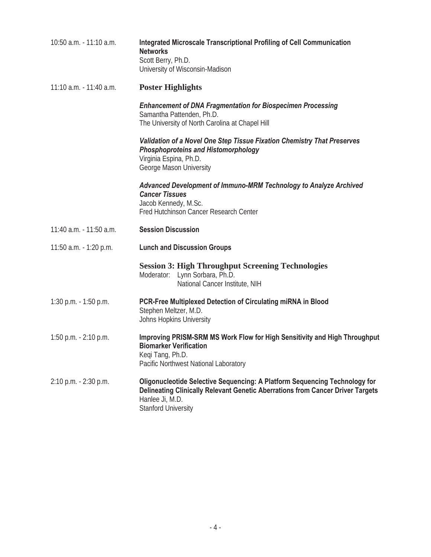| 10:50 a.m. - 11:10 a.m.    | <b>Integrated Microscale Transcriptional Profiling of Cell Communication</b><br><b>Networks</b><br>Scott Berry, Ph.D.<br>University of Wisconsin-Madison                                                             |
|----------------------------|----------------------------------------------------------------------------------------------------------------------------------------------------------------------------------------------------------------------|
| $11:10$ a.m. $-11:40$ a.m. | <b>Poster Highlights</b>                                                                                                                                                                                             |
|                            | <b>Enhancement of DNA Fragmentation for Biospecimen Processing</b><br>Samantha Pattenden, Ph.D.<br>The University of North Carolina at Chapel Hill                                                                   |
|                            | Validation of a Novel One Step Tissue Fixation Chemistry That Preserves<br><b>Phosphoproteins and Histomorphology</b><br>Virginia Espina, Ph.D.<br>George Mason University                                           |
|                            | <b>Advanced Development of Immuno-MRM Technology to Analyze Archived</b><br><b>Cancer Tissues</b><br>Jacob Kennedy, M.Sc.<br>Fred Hutchinson Cancer Research Center                                                  |
| 11:40 a.m. - 11:50 a.m.    | <b>Session Discussion</b>                                                                                                                                                                                            |
| 11:50 a.m. - 1:20 p.m.     | <b>Lunch and Discussion Groups</b>                                                                                                                                                                                   |
|                            | <b>Session 3: High Throughput Screening Technologies</b><br>Moderator:<br>Lynn Sorbara, Ph.D.<br>National Cancer Institute, NIH                                                                                      |
| 1:30 p.m. $-1:50$ p.m.     | PCR-Free Multiplexed Detection of Circulating miRNA in Blood<br>Stephen Meltzer, M.D.<br>Johns Hopkins University                                                                                                    |
| 1:50 p.m. $-2:10$ p.m.     | Improving PRISM-SRM MS Work Flow for High Sensitivity and High Throughput<br><b>Biomarker Verification</b><br>Keqi Tang, Ph.D.<br>Pacific Northwest National Laboratory                                              |
| 2:10 p.m. - 2:30 p.m.      | <b>Oligonucleotide Selective Sequencing: A Platform Sequencing Technology for</b><br>Delineating Clinically Relevant Genetic Aberrations from Cancer Driver Targets<br>Hanlee Ji, M.D.<br><b>Stanford University</b> |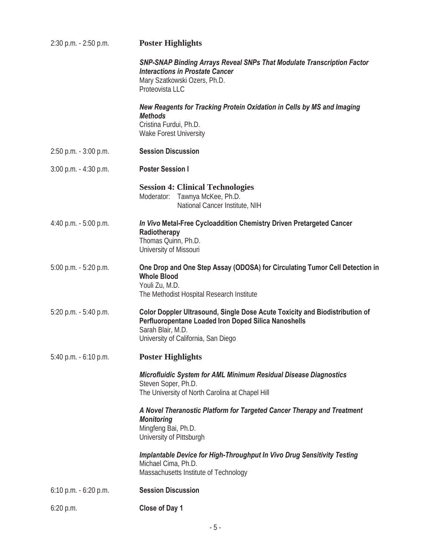| 2:30 p.m. - 2:50 p.m.    | <b>Poster Highlights</b>                                                                                                                                                                        |
|--------------------------|-------------------------------------------------------------------------------------------------------------------------------------------------------------------------------------------------|
|                          | <b>SNP-SNAP Binding Arrays Reveal SNPs That Modulate Transcription Factor</b><br><b>Interactions in Prostate Cancer</b><br>Mary Szatkowski Ozers, Ph.D.<br>Proteovista LLC                      |
|                          | New Reagents for Tracking Protein Oxidation in Cells by MS and Imaging<br><b>Methods</b><br>Cristina Furdui, Ph.D.<br><b>Wake Forest University</b>                                             |
| 2:50 p.m. - 3:00 p.m.    | <b>Session Discussion</b>                                                                                                                                                                       |
| $3:00$ p.m. $-4:30$ p.m. | <b>Poster Session I</b>                                                                                                                                                                         |
|                          | <b>Session 4: Clinical Technologies</b><br>Tawnya McKee, Ph.D.<br>Moderator:<br>National Cancer Institute, NIH                                                                                  |
| 4:40 p.m. - 5:00 p.m.    | In Vivo Metal-Free Cycloaddition Chemistry Driven Pretargeted Cancer<br>Radiotherapy<br>Thomas Quinn, Ph.D.<br>University of Missouri                                                           |
| 5:00 p.m. - 5:20 p.m.    | One Drop and One Step Assay (ODOSA) for Circulating Tumor Cell Detection in<br><b>Whole Blood</b><br>Youli Zu, M.D.<br>The Methodist Hospital Research Institute                                |
| $5:20$ p.m. $-5:40$ p.m. | Color Doppler Ultrasound, Single Dose Acute Toxicity and Biodistribution of<br>Perfluoropentane Loaded Iron Doped Silica Nanoshells<br>Sarah Blair, M.D.<br>University of California, San Diego |
| 5:40 p.m. - 6:10 p.m.    | <b>Poster Highlights</b>                                                                                                                                                                        |
|                          | Microfluidic System for AML Minimum Residual Disease Diagnostics<br>Steven Soper, Ph.D.<br>The University of North Carolina at Chapel Hill                                                      |
|                          | A Novel Theranostic Platform for Targeted Cancer Therapy and Treatment<br><b>Monitoring</b><br>Mingfeng Bai, Ph.D.<br>University of Pittsburgh                                                  |
|                          | Implantable Device for High-Throughput In Vivo Drug Sensitivity Testing<br>Michael Cima, Ph.D.<br>Massachusetts Institute of Technology                                                         |
| $6:10$ p.m. $-6:20$ p.m. | <b>Session Discussion</b>                                                                                                                                                                       |
| 6:20 p.m.                | Close of Day 1                                                                                                                                                                                  |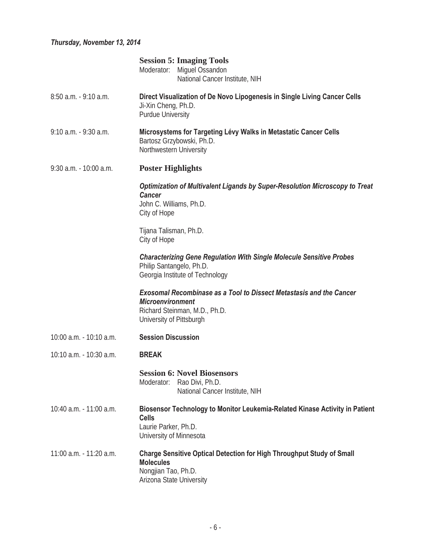### *Thursday, November 13, 2014*

|                          | <b>Session 5: Imaging Tools</b><br>Moderator:<br>Miguel Ossandon<br>National Cancer Institute, NIH                                                                 |  |
|--------------------------|--------------------------------------------------------------------------------------------------------------------------------------------------------------------|--|
| $8:50$ a.m. $-9:10$ a.m. | Direct Visualization of De Novo Lipogenesis in Single Living Cancer Cells<br>Ji-Xin Cheng, Ph.D.<br><b>Purdue University</b>                                       |  |
| 9:10 a.m. - 9:30 a.m.    | Microsystems for Targeting Lévy Walks in Metastatic Cancer Cells<br>Bartosz Grzybowski, Ph.D.<br>Northwestern University                                           |  |
| 9:30 a.m. - 10:00 a.m.   | <b>Poster Highlights</b>                                                                                                                                           |  |
|                          | Optimization of Multivalent Ligands by Super-Resolution Microscopy to Treat<br><b>Cancer</b><br>John C. Williams, Ph.D.<br>City of Hope                            |  |
|                          | Tijana Talisman, Ph.D.<br>City of Hope                                                                                                                             |  |
|                          | <b>Characterizing Gene Regulation With Single Molecule Sensitive Probes</b><br>Philip Santangelo, Ph.D.<br>Georgia Institute of Technology                         |  |
|                          | <b>Exosomal Recombinase as a Tool to Dissect Metastasis and the Cancer</b><br><b>Microenvironment</b><br>Richard Steinman, M.D., Ph.D.<br>University of Pittsburgh |  |
| 10:00 a.m. - 10:10 a.m.  | <b>Session Discussion</b>                                                                                                                                          |  |
| 10:10 a.m. - 10:30 a.m.  | <b>BREAK</b>                                                                                                                                                       |  |
|                          | <b>Session 6: Novel Biosensors</b><br>Moderator:<br>Rao Divi, Ph.D.<br>National Cancer Institute, NIH                                                              |  |
| 10:40 a.m. - 11:00 a.m.  | Biosensor Technology to Monitor Leukemia-Related Kinase Activity in Patient<br><b>Cells</b><br>Laurie Parker, Ph.D.<br>University of Minnesota                     |  |
| 11:00 a.m. - 11:20 a.m.  | <b>Charge Sensitive Optical Detection for High Throughput Study of Small</b><br><b>Molecules</b><br>Nongjian Tao, Ph.D.<br>Arizona State University                |  |
|                          |                                                                                                                                                                    |  |
|                          | - 6 -                                                                                                                                                              |  |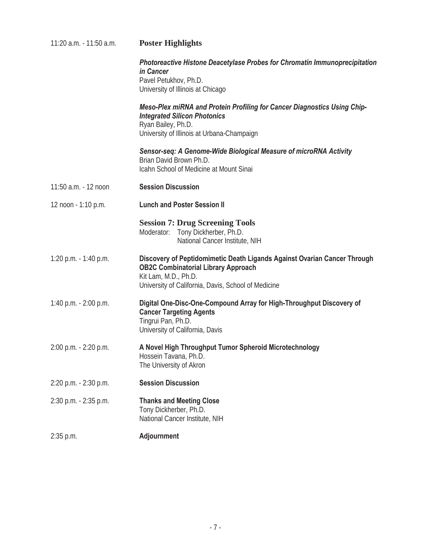| <b>Poster Highlights</b>                                                                                                                                                                              |
|-------------------------------------------------------------------------------------------------------------------------------------------------------------------------------------------------------|
| Photoreactive Histone Deacetylase Probes for Chromatin Immunoprecipitation<br>in Cancer<br>Pavel Petukhov, Ph.D.<br>University of Illinois at Chicago                                                 |
| <b>Meso-Plex miRNA and Protein Profiling for Cancer Diagnostics Using Chip-</b><br><b>Integrated Silicon Photonics</b><br>Ryan Bailey, Ph.D.<br>University of Illinois at Urbana-Champaign            |
| Sensor-seq: A Genome-Wide Biological Measure of microRNA Activity<br>Brian David Brown Ph.D.<br>Icahn School of Medicine at Mount Sinai                                                               |
| <b>Session Discussion</b>                                                                                                                                                                             |
| <b>Lunch and Poster Session II</b>                                                                                                                                                                    |
| <b>Session 7: Drug Screening Tools</b><br>Tony Dickherber, Ph.D.<br>Moderator:<br>National Cancer Institute, NIH                                                                                      |
| Discovery of Peptidomimetic Death Ligands Against Ovarian Cancer Through<br><b>OB2C Combinatorial Library Approach</b><br>Kit Lam, M.D., Ph.D.<br>University of California, Davis, School of Medicine |
| Digital One-Disc-One-Compound Array for High-Throughput Discovery of<br><b>Cancer Targeting Agents</b><br>Tingrui Pan, Ph.D.<br>University of California, Davis                                       |
| A Novel High Throughput Tumor Spheroid Microtechnology<br>Hossein Tavana, Ph.D.<br>The University of Akron                                                                                            |
| <b>Session Discussion</b>                                                                                                                                                                             |
| <b>Thanks and Meeting Close</b><br>Tony Dickherber, Ph.D.<br>National Cancer Institute, NIH                                                                                                           |
| Adjournment                                                                                                                                                                                           |
|                                                                                                                                                                                                       |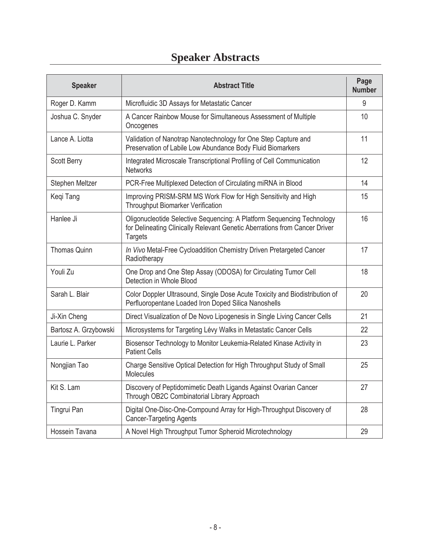# **Speaker Abstracts**

| <b>Speaker</b>        | <b>Abstract Title</b>                                                                                                                                                  | Page<br><b>Number</b> |
|-----------------------|------------------------------------------------------------------------------------------------------------------------------------------------------------------------|-----------------------|
| Roger D. Kamm         | Microfluidic 3D Assays for Metastatic Cancer                                                                                                                           | 9                     |
| Joshua C. Snyder      | A Cancer Rainbow Mouse for Simultaneous Assessment of Multiple<br>Oncogenes                                                                                            | 10                    |
| Lance A. Liotta       | Validation of Nanotrap Nanotechnology for One Step Capture and<br>Preservation of Labile Low Abundance Body Fluid Biomarkers                                           | 11                    |
| Scott Berry           | Integrated Microscale Transcriptional Profiling of Cell Communication<br><b>Networks</b>                                                                               | 12                    |
| Stephen Meltzer       | PCR-Free Multiplexed Detection of Circulating miRNA in Blood                                                                                                           | 14                    |
| Keqi Tang             | Improving PRISM-SRM MS Work Flow for High Sensitivity and High<br>Throughput Biomarker Verification                                                                    | 15                    |
| Hanlee Ji             | Oligonucleotide Selective Sequencing: A Platform Sequencing Technology<br>for Delineating Clinically Relevant Genetic Aberrations from Cancer Driver<br><b>Targets</b> | 16                    |
| <b>Thomas Quinn</b>   | In Vivo Metal-Free Cycloaddition Chemistry Driven Pretargeted Cancer<br>Radiotherapy                                                                                   | 17                    |
| Youli Zu              | One Drop and One Step Assay (ODOSA) for Circulating Tumor Cell<br>Detection in Whole Blood                                                                             | 18                    |
| Sarah L. Blair        | Color Doppler Ultrasound, Single Dose Acute Toxicity and Biodistribution of<br>Perfluoropentane Loaded Iron Doped Silica Nanoshells                                    | 20                    |
| Ji-Xin Cheng          | Direct Visualization of De Novo Lipogenesis in Single Living Cancer Cells                                                                                              | 21                    |
| Bartosz A. Grzybowski | Microsystems for Targeting Lévy Walks in Metastatic Cancer Cells                                                                                                       | 22                    |
| Laurie L. Parker      | Biosensor Technology to Monitor Leukemia-Related Kinase Activity in<br><b>Patient Cells</b>                                                                            | 23                    |
| Nongjian Tao          | Charge Sensitive Optical Detection for High Throughput Study of Small<br>Molecules                                                                                     | 25                    |
| Kit S. Lam            | Discovery of Peptidomimetic Death Ligands Against Ovarian Cancer<br>Through OB2C Combinatorial Library Approach                                                        | 27                    |
| Tingrui Pan           | Digital One-Disc-One-Compound Array for High-Throughput Discovery of<br><b>Cancer-Targeting Agents</b>                                                                 | 28                    |
| Hossein Tavana        | A Novel High Throughput Tumor Spheroid Microtechnology                                                                                                                 | 29                    |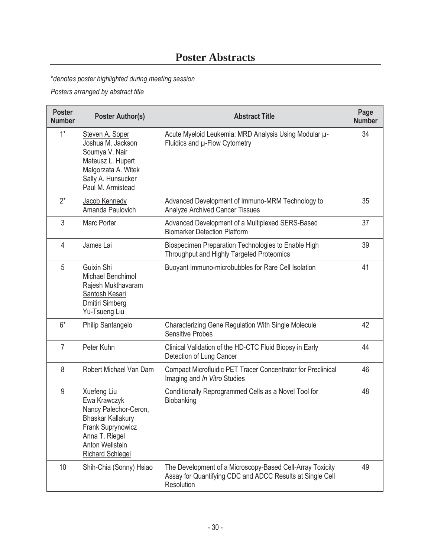## **Poster Abstracts**

\**denotes poster highlighted during meeting session* 

*Posters arranged by abstract title* 

| <b>Poster</b><br><b>Number</b> | <b>Poster Author(s)</b>                                                                                                                                               | <b>Abstract Title</b>                                                                                                                | Page<br><b>Number</b> |
|--------------------------------|-----------------------------------------------------------------------------------------------------------------------------------------------------------------------|--------------------------------------------------------------------------------------------------------------------------------------|-----------------------|
| $1*$                           | Steven A. Soper<br>Joshua M. Jackson<br>Soumya V. Nair<br>Mateusz L. Hupert<br>Małgorzata A. Witek<br>Sally A. Hunsucker<br>Paul M. Armistead                         | Acute Myeloid Leukemia: MRD Analysis Using Modular µ-<br>Fluidics and µ-Flow Cytometry                                               | 34                    |
| $2^*$                          | Jacob Kennedy<br>Amanda Paulovich                                                                                                                                     | Advanced Development of Immuno-MRM Technology to<br><b>Analyze Archived Cancer Tissues</b>                                           | 35                    |
| 3                              | Marc Porter                                                                                                                                                           | Advanced Development of a Multiplexed SERS-Based<br><b>Biomarker Detection Platform</b>                                              | 37                    |
| 4                              | James Lai                                                                                                                                                             | Biospecimen Preparation Technologies to Enable High<br>Throughput and Highly Targeted Proteomics                                     | 39                    |
| 5                              | Guixin Shi<br>Michael Benchimol<br>Rajesh Mukthavaram<br>Santosh Kesari<br><b>Dmitiri Simberg</b><br>Yu-Tsueng Liu                                                    | Buoyant Immuno-microbubbles for Rare Cell Isolation                                                                                  | 41                    |
| $6*$                           | Philip Santangelo                                                                                                                                                     | Characterizing Gene Regulation With Single Molecule<br><b>Sensitive Probes</b>                                                       | 42                    |
| $\overline{7}$                 | Peter Kuhn                                                                                                                                                            | Clinical Validation of the HD-CTC Fluid Biopsy in Early<br>Detection of Lung Cancer                                                  | 44                    |
| 8                              | Robert Michael Van Dam                                                                                                                                                | <b>Compact Microfluidic PET Tracer Concentrator for Preclinical</b><br>Imaging and In Vitro Studies                                  | 46                    |
| 9                              | Xuefeng Liu<br>Ewa Krawczyk<br>Nancy Palechor-Ceron,<br><b>Bhaskar Kallakury</b><br>Frank Suprynowicz<br>Anna T. Riegel<br>Anton Wellstein<br><b>Richard Schlegel</b> | Conditionally Reprogrammed Cells as a Novel Tool for<br>Biobanking                                                                   | 48                    |
| 10                             | Shih-Chia (Sonny) Hsiao                                                                                                                                               | The Development of a Microscopy-Based Cell-Array Toxicity<br>Assay for Quantifying CDC and ADCC Results at Single Cell<br>Resolution | 49                    |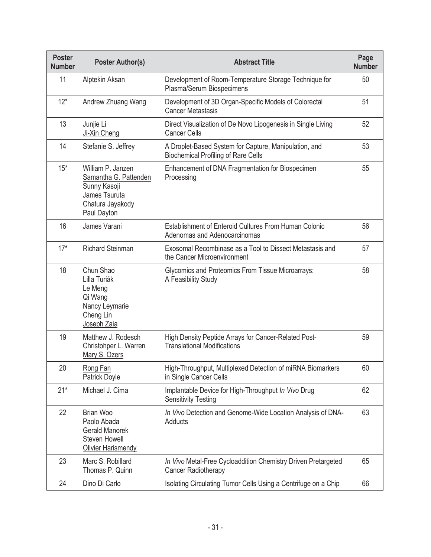| <b>Poster</b><br><b>Number</b> | <b>Poster Author(s)</b>                                                                                        | <b>Abstract Title</b>                                                                               | Page<br><b>Number</b> |
|--------------------------------|----------------------------------------------------------------------------------------------------------------|-----------------------------------------------------------------------------------------------------|-----------------------|
| 11                             | Alptekin Aksan                                                                                                 | Development of Room-Temperature Storage Technique for<br>Plasma/Serum Biospecimens                  | 50                    |
| $12*$                          | Andrew Zhuang Wang                                                                                             | Development of 3D Organ-Specific Models of Colorectal<br><b>Cancer Metastasis</b>                   | 51                    |
| 13                             | Junjie Li<br>Ji-Xin Cheng                                                                                      | Direct Visualization of De Novo Lipogenesis in Single Living<br><b>Cancer Cells</b>                 | 52                    |
| 14                             | Stefanie S. Jeffrey                                                                                            | A Droplet-Based System for Capture, Manipulation, and<br><b>Biochemical Profiling of Rare Cells</b> | 53                    |
| $15*$                          | William P. Janzen<br>Samantha G. Pattenden<br>Sunny Kasoji<br>James Tsuruta<br>Chatura Jayakody<br>Paul Dayton | Enhancement of DNA Fragmentation for Biospecimen<br>Processing                                      | 55                    |
| 16                             | James Varani                                                                                                   | Establishment of Enteroid Cultures From Human Colonic<br>Adenomas and Adenocarcinomas               | 56                    |
| $17*$                          | Richard Steinman                                                                                               | Exosomal Recombinase as a Tool to Dissect Metastasis and<br>the Cancer Microenvironment             | 57                    |
| 18                             | Chun Shao<br>Lilla Turiák<br>Le Meng<br>Qi Wang<br>Nancy Leymarie<br>Cheng Lin<br>Joseph Zaia                  | Glycomics and Proteomics From Tissue Microarrays:<br>A Feasibility Study                            | 58                    |
| 19                             | Matthew J. Rodesch<br>Christohper L. Warren<br>Mary S. Ozers                                                   | High Density Peptide Arrays for Cancer-Related Post-<br><b>Translational Modifications</b>          | 59                    |
| 20                             | Rong Fan<br><b>Patrick Doyle</b>                                                                               | High-Throughput, Multiplexed Detection of miRNA Biomarkers<br>in Single Cancer Cells                | 60                    |
| $21*$                          | Michael J. Cima                                                                                                | Implantable Device for High-Throughput In Vivo Drug<br><b>Sensitivity Testing</b>                   | 62                    |
| 22                             | <b>Brian Woo</b><br>Paolo Abada<br><b>Gerald Manorek</b><br><b>Steven Howell</b><br>Olivier Harismendy         | In Vivo Detection and Genome-Wide Location Analysis of DNA-<br>Adducts                              | 63                    |
| 23                             | Marc S. Robillard<br>Thomas P. Quinn                                                                           | In Vivo Metal-Free Cycloaddition Chemistry Driven Pretargeted<br><b>Cancer Radiotherapy</b>         | 65                    |
| 24                             | Dino Di Carlo                                                                                                  | Isolating Circulating Tumor Cells Using a Centrifuge on a Chip                                      | 66                    |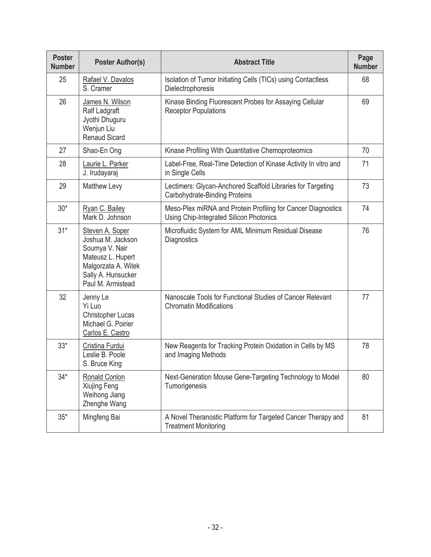| <b>Poster</b><br><b>Number</b> | <b>Poster Author(s)</b>                                                                                                                       | <b>Abstract Title</b>                                                                                   | Page<br><b>Number</b> |
|--------------------------------|-----------------------------------------------------------------------------------------------------------------------------------------------|---------------------------------------------------------------------------------------------------------|-----------------------|
| 25                             | Rafael V. Davalos<br>S. Cramer                                                                                                                | Isolation of Tumor Initiating Cells (TICs) using Contactless<br>Dielectrophoresis                       | 68                    |
| 26                             | James N. Wilson<br>Ralf Ladgraft<br>Jyothi Dhuguru<br>Wenjun Liu<br><b>Renaud Sicard</b>                                                      | Kinase Binding Fluorescent Probes for Assaying Cellular<br><b>Receptor Populations</b>                  | 69                    |
| 27                             | Shao-En Ong                                                                                                                                   | Kinase Profiling With Quantitative Chemoproteomics                                                      | 70                    |
| 28                             | Laurie L. Parker<br>J. Irudayaraj                                                                                                             | Label-Free, Real-Time Detection of Kinase Activity In vitro and<br>in Single Cells                      | 71                    |
| 29                             | <b>Matthew Levy</b>                                                                                                                           | Lectimers: Glycan-Anchored Scaffold Libraries for Targeting<br>Carbohydrate-Binding Proteins            | 73                    |
| $30*$                          | Ryan C. Bailey<br>Mark D. Johnson                                                                                                             | Meso-Plex miRNA and Protein Profiling for Cancer Diagnostics<br>Using Chip-Integrated Silicon Photonics | 74                    |
| $31*$                          | Steven A. Soper<br>Joshua M. Jackson<br>Soumya V. Nair<br>Mateusz L. Hupert<br>Malgorzata A. Witek<br>Sally A. Hunsucker<br>Paul M. Armistead | Microfluidic System for AML Minimum Residual Disease<br>Diagnostics                                     | 76                    |
| 32                             | Jenny Le<br>Yi Luo<br><b>Christopher Lucas</b><br>Michael G. Poirier<br>Carlos E. Castro                                                      | Nanoscale Tools for Functional Studies of Cancer Relevant<br><b>Chromatin Modifications</b>             | 77                    |
| $33*$                          | Cristina Furdui<br>Leslie B. Poole<br>S. Bruce King                                                                                           | New Reagents for Tracking Protein Oxidation in Cells by MS<br>and Imaging Methods                       | 78                    |
| $34*$                          | Ronald Conlon<br>Xiujing Feng<br>Weihong Jiang<br>Zhenghe Wang                                                                                | Next-Generation Mouse Gene-Targeting Technology to Model<br>Tumorigenesis                               | 80                    |
| $35*$                          | Mingfeng Bai                                                                                                                                  | A Novel Theranostic Platform for Targeted Cancer Therapy and<br><b>Treatment Monitoring</b>             | 81                    |